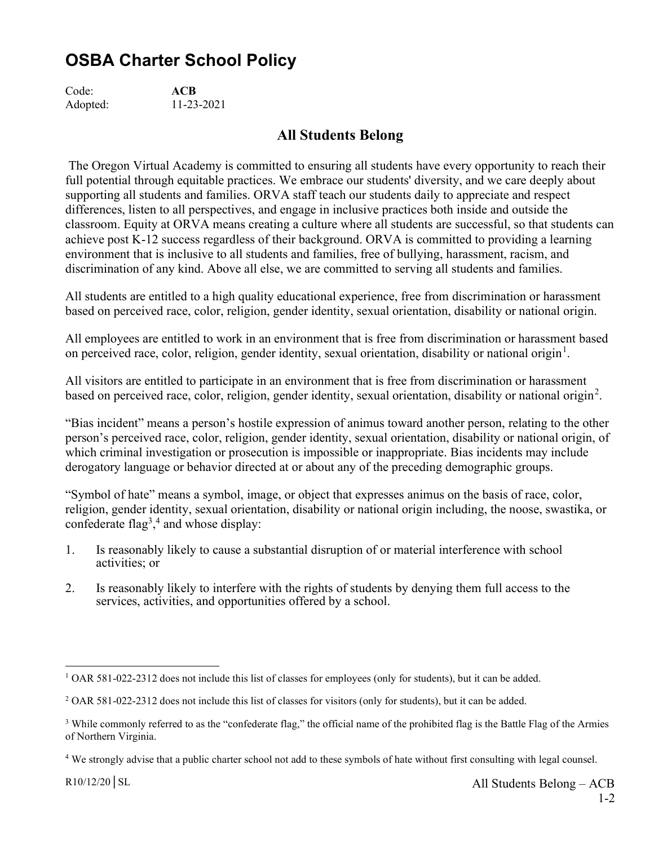## OSBA Charter School Policy

Code: ACB Adopted: 11-23-2021

## All Students Belong

 The Oregon Virtual Academy is committed to ensuring all students have every opportunity to reach their full potential through equitable practices. We embrace our students' diversity, and we care deeply about supporting all students and families. ORVA staff teach our students daily to appreciate and respect differences, listen to all perspectives, and engage in inclusive practices both inside and outside the classroom. Equity at ORVA means creating a culture where all students are successful, so that students can achieve post K-12 success regardless of their background. ORVA is committed to providing a learning environment that is inclusive to all students and families, free of bullying, harassment, racism, and discrimination of any kind. Above all else, we are committed to serving all students and families.

All students are entitled to a high quality educational experience, free from discrimination or harassment based on perceived race, color, religion, gender identity, sexual orientation, disability or national origin.

All employees are entitled to work in an environment that is free from discrimination or harassment based on perceived race, color, religion, gender identity, sexual orientation, disability or national origin<sup>1</sup>.

All visitors are entitled to participate in an environment that is free from discrimination or harassment based on perceived race, color, religion, gender identity, sexual orientation, disability or national origin<sup>2</sup>.

"Bias incident" means a person's hostile expression of animus toward another person, relating to the other person's perceived race, color, religion, gender identity, sexual orientation, disability or national origin, of which criminal investigation or prosecution is impossible or inappropriate. Bias incidents may include derogatory language or behavior directed at or about any of the preceding demographic groups.

"Symbol of hate" means a symbol, image, or object that expresses animus on the basis of race, color, religion, gender identity, sexual orientation, disability or national origin including, the noose, swastika, or confederate  $flag<sup>3</sup>,<sup>4</sup>$  and whose display:

- 1. Is reasonably likely to cause a substantial disruption of or material interference with school activities; or
- 2. Is reasonably likely to interfere with the rights of students by denying them full access to the services, activities, and opportunities offered by a school.

<sup>&</sup>lt;sup>1</sup> OAR 581-022-2312 does not include this list of classes for employees (only for students), but it can be added.

<sup>&</sup>lt;sup>2</sup> OAR 581-022-2312 does not include this list of classes for visitors (only for students), but it can be added.

<sup>&</sup>lt;sup>3</sup> While commonly referred to as the "confederate flag," the official name of the prohibited flag is the Battle Flag of the Armies of Northern Virginia.

<sup>&</sup>lt;sup>4</sup> We strongly advise that a public charter school not add to these symbols of hate without first consulting with legal counsel.